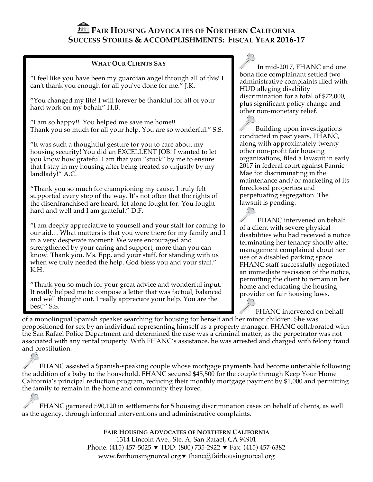# **FAIR HOUSING ADVOCATES OF NORTHERN CALIFORNIA SUCCESS STORIES & ACCOMPLISHMENTS: FISCAL YEAR 2016-17**

#### **WHAT OUR CLIENTS SAY**

"I feel like you have been my guardian angel through all of this! I can't thank you enough for all you've done for me." J.K.

"You changed my life! I will forever be thankful for all of your hard work on my behalf" H.B.

"I am so happy!! You helped me save me home!! Thank you so much for all your help. You are so wonderful." S.S.

"It was such a thoughtful gesture for you to care about my housing security! You did an EXCELLENT JOB! I wanted to let you know how grateful I am that you "stuck" by me to ensure that I stay in my housing after being treated so unjustly by my landlady!" A.C.

"Thank you so much for championing my cause. I truly felt supported every step of the way. It's not often that the rights of the disenfranchised are heard, let alone fought for. You fought hard and well and I am grateful." D.F.

"I am deeply appreciative to yourself and your staff for coming to our aid… What matters is that you were there for my family and I in a very desperate moment. We were encouraged and strengthened by your caring and support, more than you can know. Thank you, Ms. Epp, and your staff, for standing with us when we truly needed the help. God bless you and your staff." K.H.

"Thank you so much for your great advice and wonderful input. It really helped me to compose a letter that was factual, balanced and well thought out. I really appreciate your help. You are the best!" S.S.

In mid-2017, FHANC and one bona fide complainant settled two administrative complaints filed with HUD alleging disability discrimination for a total of \$72,000, plus significant policy change and other non-monetary relief.

Building upon investigations conducted in past years, FHANC, along with approximately twenty other non-profit fair housing organizations, filed a lawsuit in early 2017 in federal court against Fannie Mae for discriminating in the maintenance and/or marketing of its foreclosed properties and perpetuating segregation. The lawsuit is pending.

FHANC intervened on behalf of a client with severe physical disabilities who had received a notice terminating her tenancy shortly after management complained about her use of a disabled parking space. FHANC staff successfully negotiated an immediate rescission of the notice, permitting the client to remain in her home and educating the housing provider on fair housing laws.

FHANC intervened on behalf

of a monolingual Spanish speaker searching for housing for herself and her minor children. She was propositioned for sex by an individual representing himself as a property manager. FHANC collaborated with the San Rafael Police Department and determined the case was a criminal matter, as the perpetrator was not associated with any rental property. With FHANC's assistance, he was arrested and charged with felony fraud and prostitution.

FHANC assisted a Spanish-speaking couple whose mortgage payments had become untenable following the addition of a baby to the household. FHANC secured \$45,500 for the couple through Keep Your Home California's principal reduction program, reducing their monthly mortgage payment by \$1,000 and permitting the family to remain in the home and community they loved.

FHANC garnered \$90,120 in settlements for 5 housing discrimination cases on behalf of clients, as well as the agency, through informal interventions and administrative complaints.

> **FAIR HOUSING ADVOCATES OF NORTHERN CALIFORNIA** 1314 Lincoln Ave., Ste. A, San Rafael, CA 94901 Phone: (415) 457-5025  $\blacktriangledown$  TDD: (800) 735-2922  $\blacktriangledown$  Fax: (415) 457-6382 www.fairhousingnorcal.org  $\blacktriangledown$  fhanc@fairhousingnorcal.org